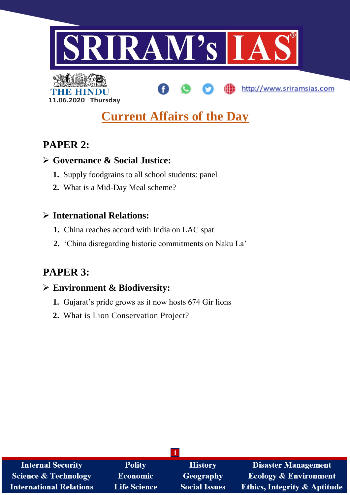

http://www.sriramsias.com



# **Current Affairs of the Day**

# **PAPER 2:**

## **Governance & Social Justice:**

- **1.** Supply foodgrains to all school students: panel
- **2.** What is a Mid-Day Meal scheme?

## **International Relations:**

- **1.** China reaches accord with India on LAC spat
- **2.** 'China disregarding historic commitments on Naku La'

# **PAPER 3:**

### **Environment & Biodiversity:**

- **1.** Gujarat's pride grows as it now hosts 674 Gir lions
- **2.** What is Lion Conservation Project?

| <b>Internal Security</b>        | <b>Polity</b>       | <b>History</b>       | <b>Disaster Management</b>              |
|---------------------------------|---------------------|----------------------|-----------------------------------------|
| <b>Science &amp; Technology</b> | <b>Economic</b>     | Geography            | <b>Ecology &amp; Environment</b>        |
| <b>International Relations</b>  | <b>Life Science</b> | <b>Social Issues</b> | <b>Ethics, Integrity &amp; Aptitude</b> |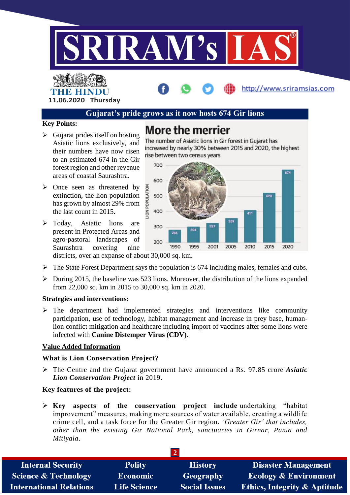

#### THE HINDL **11.06.2020 Thursday**

#### **Gujarat's pride grows as it now hosts 674 Gir lions**

**More the merrier** 

#### **Key Points:**

- $\triangleright$  Gujarat prides itself on hosting Asiatic lions exclusively, and their numbers have now risen to an estimated 674 in the Gir forest region and other revenue areas of coastal Saurashtra.
- $\triangleright$  Once seen as threatened by extinction, the lion population has grown by almost 29% from the last count in 2015.
- > Today, Asiatic lions are present in Protected Areas and agro-pastoral landscapes of Saurashtra covering nine districts, over an expanse of about 30,000 sq. km.



increased by nearly 30% between 2015 and 2020, the highest

The number of Asiatic lions in Gir forest in Gujarat has

http://www.sriramsias.com

 $\triangleright$  The State Forest Department says the population is 674 including males, females and cubs.

 $\triangleright$  During 2015, the baseline was 523 lions. Moreover, the distribution of the lions expanded from 22,000 sq. km in 2015 to 30,000 sq. km in 2020.

#### **Strategies and interventions:**

 $\triangleright$  The department had implemented strategies and interventions like community participation, use of technology, habitat management and increase in prey base, humanlion conflict mitigation and healthcare including import of vaccines after some lions were infected with **Canine Distemper Virus (CDV).**

#### **Value Added Information**

#### **What is Lion Conservation Project?**

 The Centre and the Gujarat government have announced a Rs. 97.85 crore *Asiatic Lion Conservation Project* in 2019.

#### **Key features of the project:**

 **Key aspects of the conservation project include** undertaking "habitat improvement" measures, making more sources of water available, creating a wildlife crime cell, and a task force for the Greater Gir region. *'Greater Gir' that includes, other than the existing Gir National Park, sanctuaries in Girnar, Pania and Mitiyala*.

| <b>Internal Security</b>        | <b>Polity</b>       | <b>History</b>       | <b>Disaster Management</b>              |
|---------------------------------|---------------------|----------------------|-----------------------------------------|
| <b>Science &amp; Technology</b> | <b>Economic</b>     | <b>Geography</b>     | <b>Ecology &amp; Environment</b>        |
| <b>International Relations</b>  | <b>Life Science</b> | <b>Social Issues</b> | <b>Ethics, Integrity &amp; Aptitude</b> |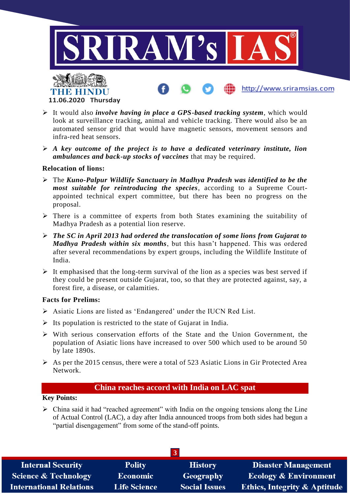

- It would also *involve having in place a GPS-based tracking system*, which would look at surveillance tracking, animal and vehicle tracking. There would also be an automated sensor grid that would have magnetic sensors, movement sensors and infra-red heat sensors.
- *A key outcome of the project is to have a dedicated veterinary institute, lion ambulances and back-up stocks of vaccines* that may be required.

#### **Relocation of lions:**

- The *Kuno-Palpur Wildlife Sanctuary in Madhya Pradesh was identified to be the most suitable for reintroducing the species*, according to a Supreme Courtappointed technical expert committee, but there has been no progress on the proposal.
- $\triangleright$  There is a committee of experts from both States examining the suitability of Madhya Pradesh as a potential lion reserve.
- *The SC in April 2013 had ordered the translocation of some lions from Gujarat to Madhya Pradesh within six months*, but this hasn't happened. This was ordered after several recommendations by expert groups, including the Wildlife Institute of India.
- $\triangleright$  It emphasised that the long-term survival of the lion as a species was best served if they could be present outside Gujarat, too, so that they are protected against, say, a forest fire, a disease, or calamities.

#### **Facts for Prelims:**

- Asiatic Lions are listed as 'Endangered' under the IUCN Red List.
- $\triangleright$  Its population is restricted to the state of Gujarat in India.
- $\triangleright$  With serious conservation efforts of the State and the Union Government, the population of Asiatic lions have increased to over 500 which used to be around 50 by late 1890s.
- $\triangleright$  As per the 2015 census, there were a total of 523 Asiatic Lions in Gir Protected Area Network.

#### **China reaches accord with India on LAC spat**

#### **Key Points:**

 $\triangleright$  China said it had "reached agreement" with India on the ongoing tensions along the Line of Actual Control (LAC), a day after India announced troops from both sides had begun a "partial disengagement" from some of the stand-off points.

| <b>Internal Security</b>        | <b>Polity</b>       | <b>History</b>       | Disaster Management                     |
|---------------------------------|---------------------|----------------------|-----------------------------------------|
| <b>Science &amp; Technology</b> | <b>Economic</b>     | <b>Geography</b>     | <b>Ecology &amp; Environment</b>        |
| <b>International Relations</b>  | <b>Life Science</b> | <b>Social Issues</b> | <b>Ethics, Integrity &amp; Aptitude</b> |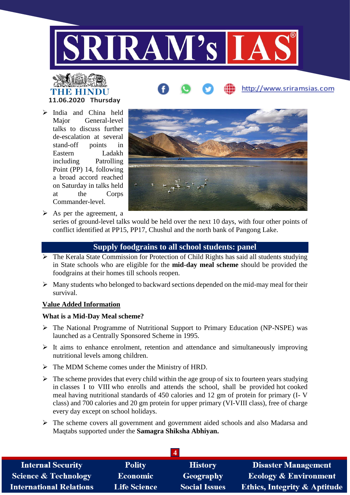

# **THE REAL 11.06.2020 Thursday**

 India and China held Major General-level talks to discuss further de-escalation at several stand-off points in Eastern Ladakh including Patrolling Point (PP) 14, following a broad accord reached on Saturday in talks held at the Corps Commander-level.



http://www.sriramsias.com

 $\triangleright$  As per the agreement, a

series of ground-level talks would be held over the next 10 days, with four other points of conflict identified at PP15, PP17, Chushul and the north bank of Pangong Lake.

#### **Supply foodgrains to all school students: panel**

- $\triangleright$  The Kerala State Commission for Protection of Child Rights has said all students studying in State schools who are eligible for the **mid-day meal scheme** should be provided the foodgrains at their homes till schools reopen.
- $\triangleright$  Many students who belonged to backward sections depended on the mid-may meal for their survival.

#### **Value Added Information**

#### **What is a Mid-Day Meal scheme?**

- $\triangleright$  The National Programme of Nutritional Support to Primary Education (NP-NSPE) was launched as a Centrally Sponsored Scheme in 1995.
- $\triangleright$  It aims to enhance enrolment, retention and attendance and simultaneously improving nutritional levels among children.
- $\triangleright$  The MDM Scheme comes under the Ministry of HRD.
- $\triangleright$  The scheme provides that every child within the age group of six to fourteen years studying in classes I to VIII who enrolls and attends the school, shall be provided hot cooked meal having nutritional standards of 450 calories and 12 gm of protein for primary (I- V class) and 700 calories and 20 gm protein for upper primary (VI-VIII class), free of charge every day except on school holidays.
- The scheme covers all government and government aided schools and also Madarsa and Maqtabs supported under the **Samagra Shiksha Abhiyan.**

| <b>Internal Security</b>        | <b>Polity</b>       | <b>History</b>       | <b>Disaster Management</b>              |
|---------------------------------|---------------------|----------------------|-----------------------------------------|
| <b>Science &amp; Technology</b> | <b>Economic</b>     | Geography            | <b>Ecology &amp; Environment</b>        |
| <b>International Relations</b>  | <b>Life Science</b> | <b>Social Issues</b> | <b>Ethics, Integrity &amp; Aptitude</b> |